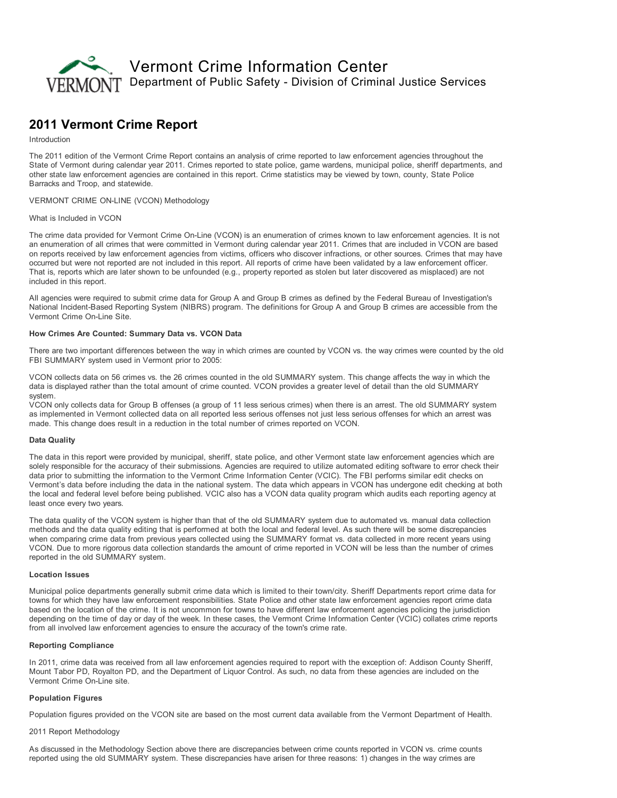

# 2011 Vermont Crime Report

## Introduction

The 2011 edition of the Vermont Crime Report contains an analysis of crime reported to law enforcement agencies throughout the State of Vermont during calendar year 2011. Crimes reported to state police, game wardens, municipal police, sheriff departments, and other state law enforcement agencies are contained in this report. Crime statistics may be viewed by town, county, State Police Barracks and Troop, and statewide.

#### VERMONT CRIME ON-LINE (VCON) Methodology

#### What is Included in VCON

The crime data provided for Vermont Crime On-Line (VCON) is an enumeration of crimes known to law enforcement agencies. It is not an enumeration of all crimes that were committed in Vermont during calendar year 2011. Crimes that are included in VCON are based on reports received by law enforcement agencies from victims, officers who discover infractions, or other sources. Crimes that may have occurred but were not reported are not included in this report. All reports of crime have been validated by a law enforcement officer. That is, reports which are later shown to be unfounded (e.g., property reported as stolen but later discovered as misplaced) are not included in this report.

All agencies were required to submit crime data for Group A and Group B crimes as defined by the Federal Bureau of Investigation's National Incident-Based Reporting System (NIBRS) program. The definitions for Group A and Group B crimes are accessible from the Vermont Crime On-Line Site.

# How Crimes Are Counted: Summary Data vs. VCON Data

There are two important differences between the way in which crimes are counted by VCON vs. the way crimes were counted by the old FBI SUMMARY system used in Vermont prior to 2005:

VCON collects data on 56 crimes vs. the 26 crimes counted in the old SUMMARY system. This change affects the way in which the data is displayed rather than the total amount of crime counted. VCON provides a greater level of detail than the old SUMMARY system.

VCON only collects data for Group B offenses (a group of 11 less serious crimes) when there is an arrest. The old SUMMARY system as implemented in Vermont collected data on all reported less serious offenses not just less serious offenses for which an arrest was made. This change does result in a reduction in the total number of crimes reported on VCON.

#### Data Quality

The data in this report were provided by municipal, sheriff, state police, and other Vermont state law enforcement agencies which are solely responsible for the accuracy of their submissions. Agencies are required to utilize automated editing software to error check their data prior to submitting the information to the Vermont Crime Information Center (VCIC). The FBI performs similar edit checks on Vermont's data before including the data in the national system. The data which appears in VCON has undergone edit checking at both the local and federal level before being published. VCIC also has a VCON data quality program which audits each reporting agency at least once every two years.

The data quality of the VCON system is higher than that of the old SUMMARY system due to automated vs. manual data collection methods and the data quality editing that is performed at both the local and federal level. As such there will be some discrepancies when comparing crime data from previous years collected using the SUMMARY format vs. data collected in more recent years using VCON. Due to more rigorous data collection standards the amount of crime reported in VCON will be less than the number of crimes reported in the old SUMMARY system.

#### Location Issues

Municipal police departments generally submit crime data which is limited to their town/city. Sheriff Departments report crime data for towns for which they have law enforcement responsibilities. State Police and other state law enforcement agencies report crime data based on the location of the crime. It is not uncommon for towns to have different law enforcement agencies policing the jurisdiction depending on the time of day or day of the week. In these cases, the Vermont Crime Information Center (VCIC) collates crime reports from all involved law enforcement agencies to ensure the accuracy of the town's crime rate.

## Reporting Compliance

In 2011, crime data was received from all law enforcement agencies required to report with the exception of: Addison County Sheriff, Mount Tabor PD, Royalton PD, and the Department of Liquor Control. As such, no data from these agencies are included on the Vermont Crime On-Line site.

# Population Figures

Population figures provided on the VCON site are based on the most current data available from the Vermont Department of Health.

#### 2011 Report Methodology

As discussed in the Methodology Section above there are discrepancies between crime counts reported in VCON vs. crime counts reported using the old SUMMARY system. These discrepancies have arisen for three reasons: 1) changes in the way crimes are